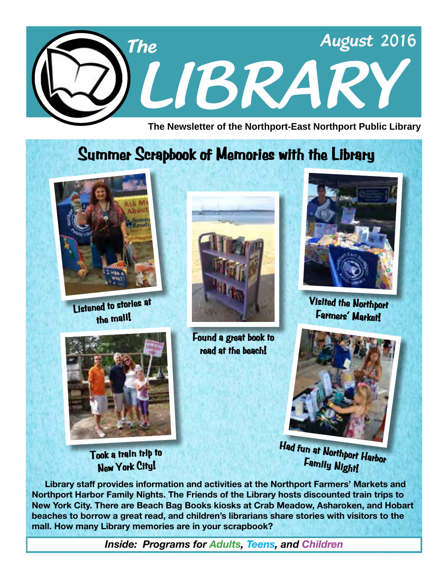

**The Newsletter of the Northport-East Northport Public Library**

# **Summer Scrapbook of Memories with the Library**



**Listened to stories at the mall!**



**Took a train trip to New York City!**



**Found a great book to read at the beach!**



**Visited the Northport Farmers' Market!**



**Had fun at Northport Harbor Family Night!**

 **Library staff provides information and activities at the Northport Farmers' Markets and Northport Harbor Family Nights. The Friends of the Library hosts discounted train trips to New York City. There are Beach Bag Books kiosks at Crab Meadow, Asharoken, and Hobart beaches to borrow a great read, and children's librarians share stories with visitors to the mall. How many Library memories are in your scrapbook?**

*Inside: Programs for Adults, Teens, and Children*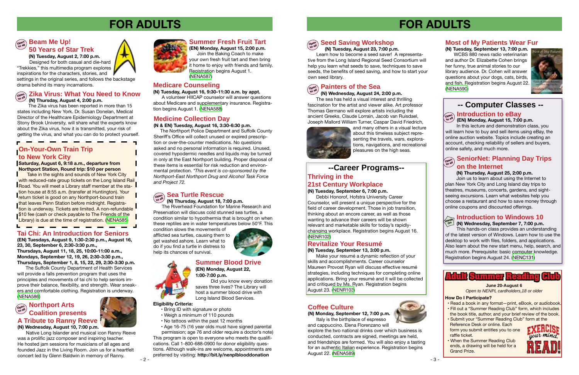# **FOR ADULTS**



### **(N) Tuesday, August 23, 7:00 p.m.**

Learn how to become a seed saver! A representative from the Long Island Regional Seed Consortium will help you learn what seeds to save, techniques to save seeds, the benefits of seed saving, and how to start your own seed library.

# $\left(\begin{array}{c}\n\text{open}\\
\text{total}\n\end{array}\right)$  **Painters of the Sea**

### **Most of My Patients Wear Fur**

**(N) Tuesday, September 13, 7:00 p.m.** WCBS 880 news radio veterinarian and author Dr. Elizabette Cohen brings her funny, true animal stories to our library audience. Dr. Cohen will answer questions about your dogs, cats, birds, and fish. Registration begins August 22. [\(NENA590\)](http://alpha1.suffolk.lib.ny.us/record%3Dg1065398~S43)



### **Thriving in the 21st Century Workplace**

### **(N) Tuesday, September 6, 7:00 p.m.**

Debbi Honorof, Hofstra University Career Counselor, will present a unique perspective for the field of career development. Those in job transition, thinking about an encore career, as well as those wanting to advance their careers will be shown relevant and marketable skills for today's rapidlychanging workplace. Registration begins August 16. ([NENR102](http://alpha1.suffolk.lib.ny.us/record%3Dg1065693~S43))

### **Revitalize Your Resumé**

### **(N) Tuesday, September 13, 3:00 p.m.**

Make your resumé a dynamic reflection of your skills and accomplishments. Career counselor Maureen Provost Ryan will discuss effective resumé strategies, including techniques for completing online applications. Bring your resumé and it will be collected and critiqued by Ms. Ryan. Registration begins August 23. ([NENR103](http://alpha1.suffolk.lib.ny.us/record%3Dg1065694~S43))

### **(EN) Monday, August 15, 7:00 p.m.**

 In this lecture and demonstration class, you will learn how to buy and sell items using eBay, the online auction website. Topics include creating an account, checking reliability of sellers and buyers, online safety, and much more.

#### **Seed Saving Workshop Ope<sup>n</sup> to all**

### **SeniorNet: Planning Day Trips Ope<sup>n</sup> to all on the Internet**

### **(N) Thursday, August 25, 2:00 p.m.**

 Join us to learn about using the Internet to plan New York City and Long Island day trips to theatres, museums, concerts, gardens, and sightseeing excursions. Learn what websites help you choose a restaurant and how to save money through online coupons and discounted offerings.

### **Introduction to Windows 10**

### **(N) Wednesday, September 7, 7:00 p.m. Hands On**

This hands-on class provides an understanding of the latest version of Windows. Learn how to use the desktop to work with files, folders, and applications. Also learn about the new start menu, help, search, and much more. Prerequisite: basic computer knowledge. Registration begins August 24. ([NENC131](http://alpha1.suffolk.lib.ny.us/record%3Dg1040832~S43))

### **-- Computer Classes --**



## $\widehat{\theta}$ <sub>**<sup>coen</sup></sub> Introduction to eBay**<br> **CEN** Monday August 15, 7:00</sub>

**(N) Wednesday, August 24, 2:00 p.m.**

The sea has held a visual interest and thrilling fascination for the artist and viewer alike. Art professor Thomas Germano will explore artists including the ancient Greeks, Claude Lorrain, Jacob van Ruisdael, Joseph Mallord William Turner, Caspar David Friedrich,



and many others in a visual lecture about this timeless subject representing the travels, wars, explorations, navigations, and recreational pleasures on the high seas.

Take in the sights and sounds of New York City with reduced-rate group tickets on the Long Island Rail **Road.** You will meet a Library staff member at the station house at 8:55 a.m. (transfer at Huntington). Your **Freturn ticket is good on any Northport-bound train** that leaves Penn Station before midnight. Registration is underway. Tickets are limited. A non-refundable **\$10 fee (cash or check payable to The Friends of the** Library) is due at the time of registration. [\(NENA585\)](http://alpha1.suffolk.lib.ny.us/record%3Dg1064447~S43)

### **Coffee Culture**

**(N) Monday, September 12, 7:00 p.m.** Italy is the birthplace of espresso



and cappuccino. Elena Florenzano will explore the two national drinks over which business is conducted, contracts are signed, meetings are held, and friendships are formed. You will also enjoy a tasting for an authentic Italian experience. Registration begins August 22. [\(NENA589](http://alpha1.suffolk.lib.ny.us/record%3Dg1065397~S43))



### **--Career Programs--**



### **Medicare Counseling**

**(N) Tuesday, August 16, 9:30-11:30 a.m. by appt.**

A volunteer HIICAP counselor will answer questions about Medicare and supplementary insurance. Registration begins August 1. [\(NENA588\)](http://alpha1.suffolk.lib.ny.us/record%3Dg1065349~S43)

### **Tai Chi: An Introduction for Seniors**

**(EN) Tuesdays, August 9, 1:30-2:30 p.m., August 16, 23, 30, September 6, 2:30-3:30 p.m., Thursdays, August 11, 18, 25, 10:00-11:00 a.m., Mondays, September 12, 19, 26, 2:30-3:30 p.m., Thursdays, September 1, 8, 15, 22, 29, 2:30-3:30 p.m.**

The Suffolk County Department of Health Services will provide a falls prevention program that uses the principles and movements of tai chi to help seniors improve their balance, flexibility, and strength. Wear sneakers and comfortable clothing. Registration is underway. ([NENA586\)](http://alpha1.suffolk.lib.ny.us/record%3Dg1064618~S43)

The Zika virus has been reported in more than 15 states including New York. Dr. Susan Donelan, Medical Director of the Healthcare Epidemiology Department at Stony Brook University, will share what the experts know about the Zika virus, how it is transmitted, your risk of getting the virus, and what you can do to protect yourself.

# **FOR ADULTS**

**(N) Tuesday, August 2, 7:00 p.m.**

 Designed for both casual and die-hard "Trekkies," this multimedia program explores inspirations for the characters, stories, and

settings in the original series, and follows the backstage drama behind its many incarnations.

Native Long Islander and musical icon Ranny Reeve was a prolific jazz composer and inspiring teacher. He hosted jam sessions for musicians of all ages and founded Jazz in the Living Room. Join us for a heartfelt concert led by Glenn Baldwin in memory of Ranny.



### **Summer Blood Drive**

**(EN) Monday, August 22, 1:00-7:00 p.m.**

 Did you know every donation saves three lives? The Library will host a summer blood drive with Long Island Blood Services.

### **Eligibility Criteria:**

- Bring ID with signature or photo
- Weigh a minimum of 110 pounds
- No tattoos within the past 12 months
- Age 16-75 (16 year olds must have signed parental

#### **Zika Virus: What You Need to Know (N) Thursday, August 4, 2:00 p.m. Ope<sup>n</sup> to all**

### **Northport Arts Coalition presents A Tribute to Ranny Reeve (N) Wednesday, August 10, 7:00 p.m. Ope<sup>n</sup> to all**

permission; age 76 and older require a doctor's note) This program is open to everyone who meets the qualifications. Call 1-800-688-0900 for donor eligibility questions. Although walk-ins are welcome, appointments are preferred by visiting: **http://bit.ly/nenplblooddonation**

### **On-Your-Own Train Trip to New York City**

**Saturday, August 6, 9:18 a.m., departure from Northport Station, Round trip: \$10 per person**

#### **Beam Me Up! 50 Years of Star Trek Ope<sup>n</sup> to all**

### **Summer Fresh Fruit Tart**

**(EN) Monday, August 15, 2:00 p.m.** Join the Baking Coach to make

your own fresh fruit tart and then bring it home to enjoy with friends and family. Registration begins August 1. [\(NENA587](http://alpha1.suffolk.lib.ny.us/record%3Dg1065348~S43))

The Riverhead Foundation for Marine Research and Preservation will discuss cold stunned sea turtles, a condition similar to hypothermia that is brought on when these reptiles are in water temperatures below 50°F. This

#### **Sea Turtle Rescue Ope<sup>n</sup>**

**(N) Thursday, August 18, 7:00 p.m. to all**

condition slows the movements of afflicted sea turtles, causing them to get washed ashore. Learn what to do if you find a turtle in distress to help its chances of survival.



### **Medicine Collection Day**

**(N & EN) Tuesday, August 16, 3:30-6:30 p.m.**

 The Northport Police Department and Suffolk County Sheriff's Office will collect unused or expired prescription or over-the-counter medications. No questions asked and no personal information is required. Unused, covered hypodermic needles and liquids may be turned in only at the East Northport building. Proper disposal of these items is essential for risk reduction and environmental protection. *\*This event is co-sponsored by the Northport-East Northport Drug and Alcohol Task Force and Project 72.*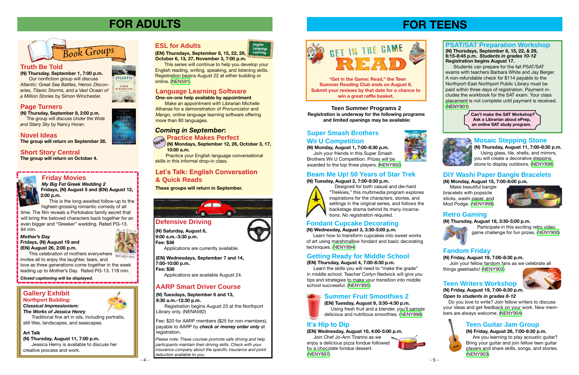# **FOR TEENS**

### **Getting Ready for Middle School**

### **(EN) Thursday, August 4, 7:00-8:30 p.m.**

 Learn the skills you will need to "make the grade" in middle school. Teacher Corlyn Nedwick will give you tips and strategies to make your transition into middle school successful. ([NENY895\)](http://alpha1.suffolk.lib.ny.us/record%3Dg1064621~S43)

### **Fandom Friday**

### **(N) Friday, August 19, 7:00-8:30 p.m.**

 Join your fellow fandom fans as we celebrate all things geektastic! ([NENY902](http://alpha1.suffolk.lib.ny.us/record%3Dg1064653~S43))

**Teen Summer Programs 2 Registration is underway for the following programs and limited openings may be available:**

### **It's Hip to Dip**

### **(EN) Wednesday, August 10, 4:00-5:00 p.m.**

 Join Chef Jo-Ann Tiranno as we enjoy a delicious pizza fondue followed by a chocolate fondue dessert. ([NENY897](http://alpha1.suffolk.lib.ny.us/record%3Dg1064623~S43))





**ATLANTIC** 

VIRGINIA









### **Retro Gaming**

### **(N) Thursday, August 18, 3:30-5:00 p.m.**



### Participate in this exciting retro video game challenge for fun prizes. [\(NENY900\)](http://alpha1.suffolk.lib.ny.us/record%3Dg1064652~S43)

### **Teen Guitar Jam Group**

**(N) Friday, August 26, 7:00-8:30 p.m.**  Are you learning to play acoustic guitar? Bring your guitar and join fellow teen guitar players and share skills, songs, and stories. ([NENY903\)](http://alpha1.suffolk.lib.ny.us/record%3Dg1064654~S43)



### **Super Smash Brothers Wii U Competition**

**(N) Monday, August 1, 7:00-8:30 p.m.**  Join your friends in this Super Smash Brothers Wii U Competition. Prizes will be awarded to the top three players. [\(NENY892\)](http://alpha1.suffolk.lib.ny.us/record%3Dg1064613~S43)



### **Beam Me Up! 50 Years of Star Trek**

### **(N) Tuesday, August 2, 7:00-8:30 p.m.**



 Designed for both casual and die-hard "Trekkies," this multimedia program explores inspirations for the characters, stories, and settings in the original series, and follows the backstage drama behind its many incarnations. *No registration required.*

### **Summer Fruit Smoothies 2**



**(EN) Tuesday, August 9, 3:30-4:30 p.m.**  Using fresh fruit and a blender, you'll sample

delicious and nutritious smoothies. ([NENY896](http://alpha1.suffolk.lib.ny.us/record%3Dg1064622~S43))

### **Mosaic Stepping Stone**

**(N) Thursday, August 11, 7:00-8:30 p.m.**  Using glass, tile, shells, and mirrors, you will create a decorative stepping stone to display outdoors. [\(NENY898](http://alpha1.suffolk.lib.ny.us/record%3Dg1065422~S43))

### **DIY Washi Paper Bangle Bracelets**

### **(N) Monday, August 15, 7:00-8:00 p.m.**

 Make beautiful bangle bracelets with popsicle sticks, washi paper, and Mod Podge. ([NENY899](http://alpha1.suffolk.lib.ny.us/record%3Dg1064651~S43))



### **Teen Writers Workshop**



 Do you love to write? Join fellow writers to discuss your ideas and get feedback on your work. New members are always welcome. ([NENY904](http://alpha1.suffolk.lib.ny.us/record%3Dg1064906~S43))



### **Fondant Cupcake Decorating**

### **(N) Wednesday, August 3, 3:30-5:00 p.m.**

will bring the beloved characters back together for an even bigger and "Greeker" wedding. Rated PG-13. 94 min.

 Learn how to transform cupcakes into sweet works of art using marshmallow fondant and basic decorating techniques. [\(NENY894](http://alpha1.suffolk.lib.ny.us/record%3Dg1064620~S43))

**Can't make the SAT Workshop? Ask a Librarian about ePrep, an online SAT study program.**



### **PSAT/SAT Preparation Workshop**

**(N) Thursdays, September 8, 15, 22, & 29, 6:15-8:45 p.m.** *Students in grades 10-12*  **Registration begins August 17.**

This celebration of mothers everywhere invites all to enjoy the laughter, tears, and love as three generations come together in the week leading up to Mother's Day. Rated PG-13. 118 min.

> Fee: \$20 for AARP members (\$25 for non-members), payable to AARP by *check or money order only* at registration.

 Students can prepare for the fall PSAT/SAT exams with teachers Barbara White and Jay Berger. A non-refundable check for \$114 payable to the Northport-East Northport Public Library must be paid within three days of registration. Payment includes the workbook for the SAT exam. Your class placement is not complete until payment is received. ([NENY901](http://alpha1.suffolk.lib.ny.us/record%3Dg1065422~S43))

**"Get in the Game: Read," the Teen Summer Reading Club ends on August 6. Submit your reviews by that date for a chance to win a great raffle basket.**

# **FOR ADULTS**

### **Truth Be Told**

**(N) Thursday, September 1, 7:00 p.m.**

Our nonfiction group will discuss *Atlantic: Great Sea Battles, Heroic Discoveries, Titanic Storms, and a Vast Ocean of a Million Stories* by Simon Winchester.

### **Page Turners**

**(N) Thursday, September 8, 2:00 p.m.**

 The group will discuss *Under the Wide and Starry Sky* by Nancy Horan.

# **Novel Ideas**

**The group will return on September 26.**

### **Short Story Central**

**The group will return on October 4.**

# *Book Groups*

### **Let's Talk: English Conversation & Quick Reads**

**These groups will return in September.**







**(EN) Thursdays, September 8, 15, 22, 29, October 6, 13, 27, November 3, 7:00 p.m.**

 This series will continue to help you develop your English reading, writing, speaking, and listening skills. Registration begins August 22 at either building or online. ([NEN591](http://alpha1.suffolk.lib.ny.us/record%3Dg1065404~S43))



*Please note: These courses promote safe driving and help participants maintain their driving skills. Check with your insurance company about the specific insurance and point reduction available to you.*

**(EN) Wednesdays, September 7 and 14, 7:00-10:00 p.m.**

**Fee: \$36**

Applications are available August 24.

**(N) Saturday, August 6, 9:00 a.m.-3:30 p.m. Fee: \$36** Applications are currently available.

### **Friday Movies**

### *My Big Fat Greek Wedding 2* **Fridays, (N) August 5 and (EN) August 12,**

**2:00 p.m.** This is the long-awaited follow-up to the

highest-grossing romantic comedy of all time. The film reveals a Portokalos family secret that

### **Gallery Exhibit Northport Building:**

### *Classical Impressionism: The Works of Jessica Henry*

Traditional fine art in oils, including portraits, still lifes, landscapes, and seascapes.

### **Art Talk**

**(N) Thursday, August 11, 7:00 p.m.**

Jessica Henry is available to discuss her creative process and work.

### *Mother's Day* **Fridays, (N) August 19 and (EN) August 26, 2:00 p.m.**



*Closed captioning will be displayed.*

**(N) Tuesdays, September 6 and 13, 9:30 a.m.-12:30 p.m.**

Registration begins August 23 at the Northport Library only. (NENA592)

### **AARP Smart Driver Course**

### *Coming in September***:**

# *Rew* **Practice Makes Perfect**<br>N<sup>ew</sup> *(N)* Mondays, September 12, 26,



**(N) Mondays, September 12, 26, October 3, 17, 10:00 a.m.**

 Practice your English language conversational skills in this informal drop-in class.

### **Language Learning Software**

**One-on-one help available by appointment**

 Make an appointment with Librarian Michelle Athanas for a demonstration of *Pronunciator* and *Mango*, online language learning software offering more than 80 languages.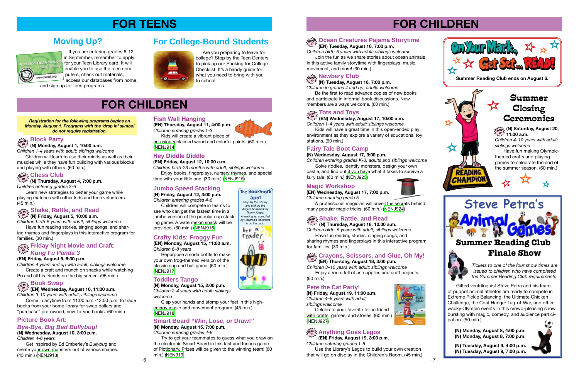

- 7 -

**(N) Tuesday, August 16, 7:00 p.m.**

*Children in grades 4 and up; adults welcome* Be the first to read advance copies of new books

#### **Newbery Club drop in**

and participate in informal book discussions. New members are always welcome. (60 min.)

### $\frac{1}{2}$  **Tots and Toys**

### **(EN) Wednesday, August 17, 10:00 a.m.** *Children 1-4 years with adult; siblings welcome*

#### $\mathcal{L}_{\mathbf{Q}}$  **Ocean Creatures Pajama Storytime in**

Kids will have a great time in this open-ended play environment as they explore a variety of educational toy stations. (60 min.)

### **(EN) Tuesday, August 16, 7:00 p.m.** *Children birth-5 years with adult; siblings welcome*

Join the fun as we share stories about ocean animals in this active family storytime with fingerplays, music, movement, and more! (30 min.)

**(EN) Thursday, August 18, 3:00 p.m.**

#### **Crayons, Scissors, and Glue, Oh My! drop in**

*Children 3–10 years with adult; siblings welcome* Enjoy a room full of art supplies and craft projects. (60 min.)

**(N) Thursday, August 18, 10:00 a.m.** *Children birth–5 years with adult; siblings welcome*

Have fun reading stories, singing songs, and sharing rhymes and fingerplays in this interactive program for families. (30 min.)

### **Fairy Tale Boot Camp**

### **(N) Wednesday, August 17, 3:00 p.m.**

*Children entering grades K-3; adults and siblings welcome* Solve riddles, identify monsters, design your own

castle, and find out if you have what it takes to survive a fairy tale. (60 min.) ([NENJ923](http://alpha1.suffolk.lib.ny.us/record%3Dg1064638~S43))

### **Magic Workshop**

**(EN) Wednesday, August 17, 7:00 p.m.** *Children entering grade 5* 

A professional magician will unveil the secrets behind many popular magic tricks. (60 min.) [\(NENJ924\)](http://alpha1.suffolk.lib.ny.us/record%3Dg1064826~S43)

### $\frac{1}{2}$  Shake, Rattle, and Read

# **FOR CHILDREN**

*Tickets to one of the four show times are issued to children who have completed the Summer Reading Club requirements.* 





**READING CHAMPIOI** 

Gifted ventriloquist Steve Petra and his team of puppet animal athletes are ready to compete in Extreme Pickle Balancing, the Ultimate Chicken Challenge, the Coat Hanger Tug-of-War, and other wacky Olympic events in this crowd-pleasing show bursting with magic, comedy, and audience participation. (50 min.)

**(N) Monday, August 8, 4:00 p.m. (N) Monday, August 8, 7:00 p.m.**

**(N) Tuesday, August 9, 4:00 p.m. (N) Tuesday, August 9, 7:00 p.m.**



### **Pete the Cat Party!**

**(N) Friday, August 19, 11:00 a.m.** *Children 4–6 years with adult; siblings welcome* 



Celebrate your favorite feline friend with crafts, games, and stories. (60 min.) ([NENJ927](http://alpha1.suffolk.lib.ny.us/record%3Dg1064641~S43))

### $\frac{\partial \mathbf{e}_i \mathbf{e}_j}{\partial \mathbf{e}_j}$  Anything Goes Legos

**(EN) Friday, August 19, 3:00 p.m.** *Children entering grades 1-5*

Use the Library's Legos to build your own creation that will go on display in the Children's Room. (45 min.)

**Summer Closing Ceremonies**

**drop in (N) Saturday, August 20, 11:00 a.m.**

*Children 4–10 years with adult; siblings welcome*

Have fun making Olympicthemed crafts and playing games to celebrate the end of the summer season. (60 min.)





- 6 -

# **FOR CHILDREN**

### **Book Swap**

 $\mu_{\mathcal{W}}^{\mathcal{W}^{\mathcal{X}}}$  (N) Friday, August 5, 10:00 a.m. *Children birth-5 years with adult; siblings welcome*

**(EN) Wednesday, August 10, 11:00 a.m. drop in**

*Children 3-10 years with adult; siblings welcome* Come in anytime from 11:00 a.m.-12:00 p.m. to trade books from your home library for swap dollars and "purchase" pre-owned, new-to-you books. (60 min.)

### **Picture Book Art:**

### *Bye-Bye, Big Bad Bullybug!*

**(N) Wednesday, August 10, 3:00 p.m.**

*Children 4-6 years*

Get inspired by Ed Emberley's *Bullybug* and create your own monsters out of various shapes. (45 min.) [\(NENJ913\)](http://alpha1.suffolk.lib.ny.us/record%3Dg1064629~S43)

### **Hey Diddle Diddle**

### **(EN) Friday, August 12, 10:00 a.m.**

*Children birth-23 months with adult; siblings welcome*

 Enjoy books, fingerplays, nursery rhymes, and special time with your little one. (30 min.) ([NENJ915](http://alpha1.suffolk.lib.ny.us/record%3Dg1064816~S43))

### **Jumbo Speed Stacking**

**(N) Friday, August 12, 3:00 p.m.** *Children entering grades 4-6* 

 Children will compete in teams to see who can get the fastest time in a jumbo version of the popular cup stacking game. A watermelon snack will be provided. (60 min.) [\(NENJ916\)](http://alpha1.suffolk.lib.ny.us/record%3Dg1064630~S43)

### **Crafty Kids: Froggy Fun**

**(EN) Monday, August 15, 11:00 a.m.** *Children 6-8 years*

 Repurpose a soda bottle to make your own frog-themed version of the classic cup and ball game. (60 min.) [\(NENJ917\)](http://alpha1.suffolk.lib.ny.us/record%3Dg1064819~S43)

### **Toddlers Tango**

**(N) Monday, August 15, 2:00 p.m.** *Children 2-4 years with adult; siblings* 

*welcome* 

 Clap your hands and stomp your feet in this highenergy music and movement program. (45 min.) [\(NENJ918\)](http://alpha1.suffolk.lib.ny.us/record%3Dg1064632~S43)

### **Smart Board "Win, Lose, or Draw!"**

**(N) Monday, August 15, 7:00 p.m.** *Children entering grades 4-6* 

 Try to get your teammates to guess what you draw on the electronic Smart Board in this fast and furious game of Pictionary. Prizes will be given to the winning team! (60 min.) [\(NEN919](http://alpha1.suffolk.lib.ny.us/record%3Dg1064635~S43))

#### *Registration for the following programs begins on Monday, August 1. Programs with the 'drop in' symbol do not require registration.*

### **Fish Wall Hanging**

**(EN) Thursday, August 11, 4:00 p.m.** *Children entering grades 1-3* 

 Kids will create a vibrant piece of art using reclaimed wood and colorful paints. (60 min.) [\(NENJ914\)](http://alpha1.suffolk.lib.ny.us/record%3Dg1064813~S43)

# **FOR TEENS**

Are you preparing to leave for college? Stop by the Teen Centers to pick up our Packing for College Checklist. It's a handy guide for what you need to bring with you to school.

# **For College-Bound Students**





**The Bookmark** 









 If you are entering grades 6-12 in September, remember to apply for your Teen Library card. It will enable you to use the teen computers, check out materials,

access our databases from home, and sign up for teen programs.

# **Moving Up?**



### **Block Party**

 $\mathcal{H}_{\mathcal{W},\mathcal{W}}^{\text{loop}}$   $\leq$   $\mathcal{W}$  Monday, August 1, 10:00 a.m.

*Children 1-4 years with adult; siblings welcome* Children will learn to use their minds as well as their

muscles while they have fun building with various blocks and playing with others. (60 min.)

**(N) Thursday, August 4, 7:00 p.m.** *Children entering grades 3-6*

#### **Chess Club drop in**

Learn new strategies to better your game while playing matches with other kids and teen volunteers. (45 min.)

### **Shake, Rattle, and Read**

Have fun reading stories, singing songs, and sharing rhymes and fingerplays in this interactive program for families. (30 min.)

### **(EN) Friday, August 5, 6:30 p.m.**

#### **Friday Night Movie and Craft:**  *Kung Fu Panda 3* **drop in**

*Children 4 years and up with adult; siblings welcome* Create a craft and munch on snacks while watching Po and all his friends on the big screen. (95 min.)